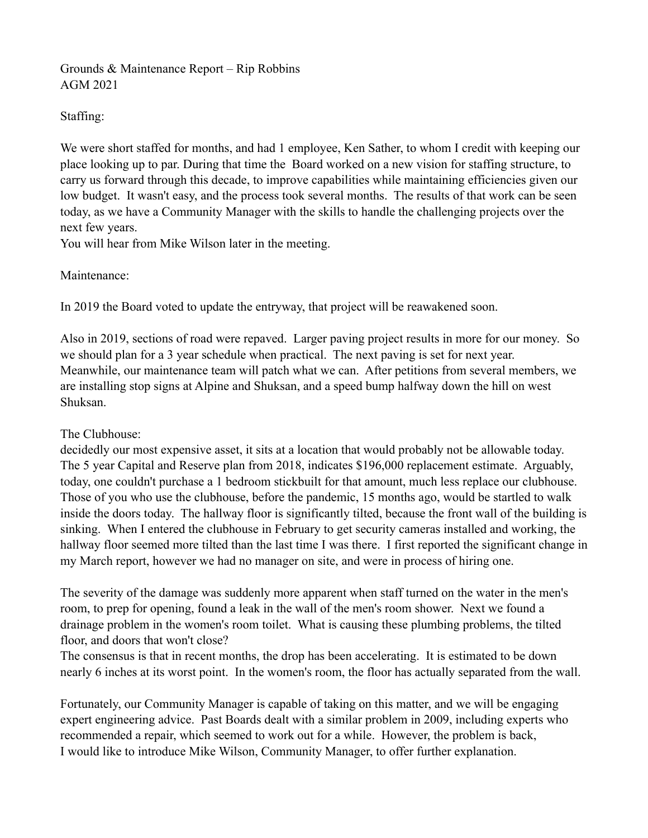## Grounds & Maintenance Report – Rip Robbins AGM 2021

## Staffing:

We were short staffed for months, and had 1 employee, Ken Sather, to whom I credit with keeping our place looking up to par. During that time the Board worked on a new vision for staffing structure, to carry us forward through this decade, to improve capabilities while maintaining efficiencies given our low budget. It wasn't easy, and the process took several months. The results of that work can be seen today, as we have a Community Manager with the skills to handle the challenging projects over the next few years.

You will hear from Mike Wilson later in the meeting.

## Maintenance:

In 2019 the Board voted to update the entryway, that project will be reawakened soon.

Also in 2019, sections of road were repaved. Larger paving project results in more for our money. So we should plan for a 3 year schedule when practical. The next paving is set for next year. Meanwhile, our maintenance team will patch what we can. After petitions from several members, we are installing stop signs at Alpine and Shuksan, and a speed bump halfway down the hill on west Shuksan.

## The Clubhouse:

decidedly our most expensive asset, it sits at a location that would probably not be allowable today. The 5 year Capital and Reserve plan from 2018, indicates \$196,000 replacement estimate. Arguably, today, one couldn't purchase a 1 bedroom stickbuilt for that amount, much less replace our clubhouse. Those of you who use the clubhouse, before the pandemic, 15 months ago, would be startled to walk inside the doors today. The hallway floor is significantly tilted, because the front wall of the building is sinking. When I entered the clubhouse in February to get security cameras installed and working, the hallway floor seemed more tilted than the last time I was there. I first reported the significant change in my March report, however we had no manager on site, and were in process of hiring one.

The severity of the damage was suddenly more apparent when staff turned on the water in the men's room, to prep for opening, found a leak in the wall of the men's room shower. Next we found a drainage problem in the women's room toilet. What is causing these plumbing problems, the tilted floor, and doors that won't close?

The consensus is that in recent months, the drop has been accelerating. It is estimated to be down nearly 6 inches at its worst point. In the women's room, the floor has actually separated from the wall.

Fortunately, our Community Manager is capable of taking on this matter, and we will be engaging expert engineering advice. Past Boards dealt with a similar problem in 2009, including experts who recommended a repair, which seemed to work out for a while. However, the problem is back, I would like to introduce Mike Wilson, Community Manager, to offer further explanation.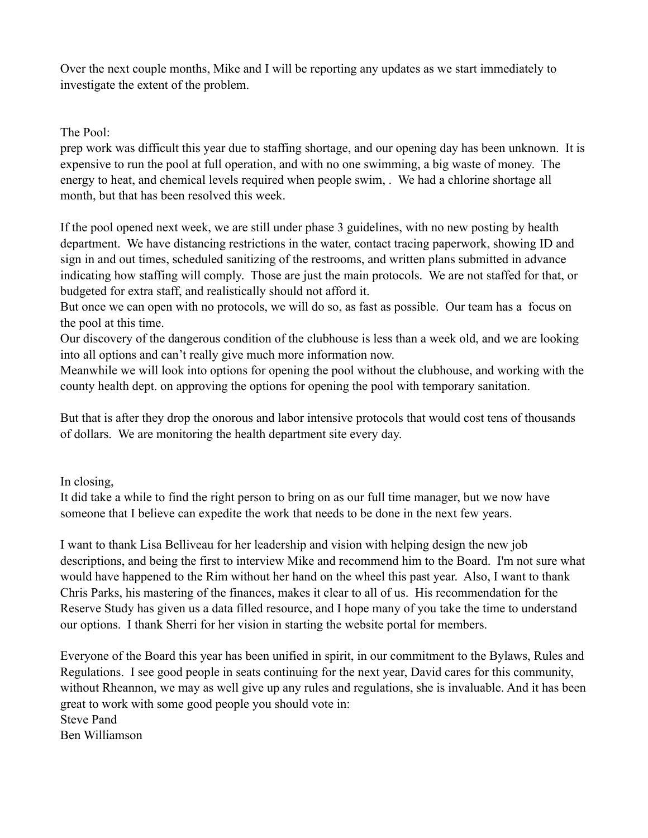Over the next couple months, Mike and I will be reporting any updates as we start immediately to investigate the extent of the problem.

The Pool:

prep work was difficult this year due to staffing shortage, and our opening day has been unknown. It is expensive to run the pool at full operation, and with no one swimming, a big waste of money. The energy to heat, and chemical levels required when people swim, . We had a chlorine shortage all month, but that has been resolved this week.

If the pool opened next week, we are still under phase 3 guidelines, with no new posting by health department. We have distancing restrictions in the water, contact tracing paperwork, showing ID and sign in and out times, scheduled sanitizing of the restrooms, and written plans submitted in advance indicating how staffing will comply. Those are just the main protocols. We are not staffed for that, or budgeted for extra staff, and realistically should not afford it.

But once we can open with no protocols, we will do so, as fast as possible. Our team has a focus on the pool at this time.

Our discovery of the dangerous condition of the clubhouse is less than a week old, and we are looking into all options and can't really give much more information now.

Meanwhile we will look into options for opening the pool without the clubhouse, and working with the county health dept. on approving the options for opening the pool with temporary sanitation.

But that is after they drop the onorous and labor intensive protocols that would cost tens of thousands of dollars. We are monitoring the health department site every day.

In closing,

It did take a while to find the right person to bring on as our full time manager, but we now have someone that I believe can expedite the work that needs to be done in the next few years.

I want to thank Lisa Belliveau for her leadership and vision with helping design the new job descriptions, and being the first to interview Mike and recommend him to the Board. I'm not sure what would have happened to the Rim without her hand on the wheel this past year. Also, I want to thank Chris Parks, his mastering of the finances, makes it clear to all of us. His recommendation for the Reserve Study has given us a data filled resource, and I hope many of you take the time to understand our options. I thank Sherri for her vision in starting the website portal for members.

Everyone of the Board this year has been unified in spirit, in our commitment to the Bylaws, Rules and Regulations. I see good people in seats continuing for the next year, David cares for this community, without Rheannon, we may as well give up any rules and regulations, she is invaluable. And it has been great to work with some good people you should vote in: Steve Pand

Ben Williamson